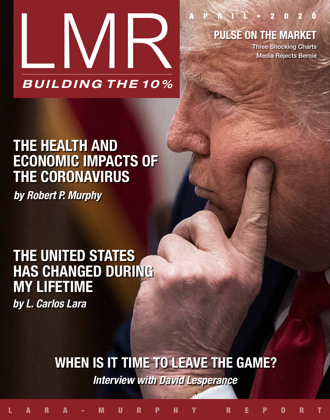

PULSE ON THE MARKET

P R I L · 2 0 2 0

Three Shocking Charts Media Rejects Bernie

# *by Robert P. Murphy* THE HEALTH AND ECONOMIC IMPACTS OF THE CORONAVIRUS

## THE UNITED STATES HAS CHANGED DURING MY LIFETIME

*by L. Carlos Lara*

### WHEN IS IT TIME TO LEAVE THE GAME? *Interview with David Lesperance*

LARA-MURPHY REPORT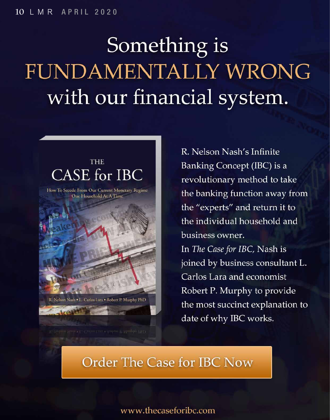# Something is FUNDAMENTALLY WRONG with our financial system.



R. Nelson Nash . L. Carlos Lara . Robert P. Murphy PhD

R. Nelson Nash's Infinite Banking Concept (IBC) is a revolutionary method to take the banking function away from the "experts" and return it to the individual household and business owner. In The Case for IBC, Nash is

joined by business consultant L. Carlos Lara and economist Robert P. Murphy to provide the most succinct explanation to date of why IBC works.

#### **Order The Case for IBC Now**

#### www.thecaseforibc.com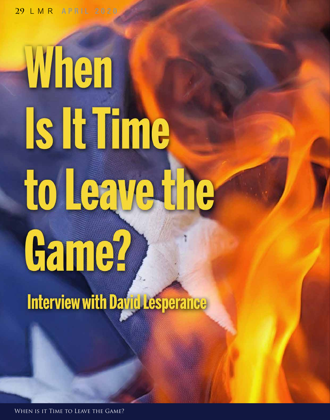29 LMR APRIL 2020

# When **Is It Time** to Leave the Game?

**Interview with David Lesperance** 

When is it Time to Leave the Game?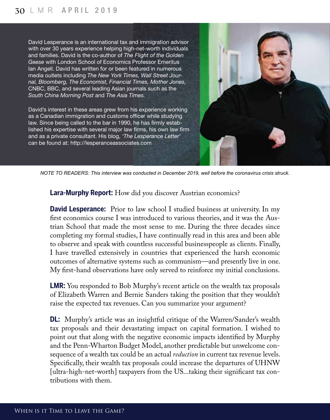David Lesperance is an international tax and immigration advisor with over 30 years experience helping high-net-worth individuals and families. David is the co-author of *The Flight of the Golden Geese* with London School of Economics Professor Emeritus Ian Angell. David has written for or been featured in numerous media outlets including *The New York Times, Wall Street Journal, Bloomberg, The Economist, Financial Times, Mother Jones,*  CNBC, BBC, and several leading Asian journals such as the *South China Morning Post* and *The Asia Times.* 

David's interest in these areas grew from his experience working as a Canadian immigration and customs officer while studying law. Since being called to the bar in 1990, he has firmly established his expertise with several major law firms, his own law firm and as a private consultant. His blog, *'The Lesperance Letter'*  can be found at: http://lesperanceassociates.com



*NOTE TO READERS: This interview was conducted in December 2019, well before the coronavirus crisis struck.*

**Lara-Murphy Report:** How did you discover Austrian economics?

**David Lesperance:** Prior to law school I studied business at university. In my first economics course I was introduced to various theories, and it was the Austrian School that made the most sense to me. During the three decades since completing my formal studies, I have continually read in this area and been able to observe and speak with countless successful businesspeople as clients. Finally, I have travelled extensively in countries that experienced the harsh economic outcomes of alternative systems such as communism—and presently live in one. My first-hand observations have only served to reinforce my initial conclusions.

**LMR:** You responded to Bob Murphy's recent article on the wealth tax proposals of Elizabeth Warren and Bernie Sanders taking the position that they wouldn't raise the expected tax revenues. Can you summarize your argument?

**DL:** Murphy's article was an insightful critique of the Warren/Sander's wealth tax proposals and their devastating impact on capital formation. I wished to point out that along with the negative economic impacts identified by Murphy and the Penn-Wharton Budget Model, another predictable but unwelcome consequence of a wealth tax could be an actual *reduction* in current tax revenue levels. Specifically, their wealth tax proposals could increase the departures of UHNW [ultra-high-net-worth] taxpayers from the US...taking their significant tax contributions with them.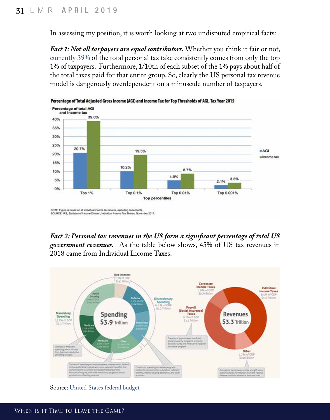In assessing my position, it is worth looking at two undisputed empirical facts:

*Fact 1: Not all taxpayers are equal contributors.* Whether you think it fair or not, [currently 39%](https://www.forbes.com/sites/michaeldurkheimer/2018/03/01/0-001-percent-one-percent/#1d540c112cf2) of the total personal tax take consistently comes from only the top 1% of taxpayers. Furthermore, 1/10th of each subset of the 1% pays about half of the total taxes paid for that entire group. So, clearly the US personal tax revenue model is dangerously overdependent on a minuscule number of taxpayers.



*Fact 2: Personal tax revenues in the US form a significant percentage of total US government revenues.* As the table below shows, 45% of US tax revenues in 2018 came from Individual Income Taxes.



Source: [United States federal budget](https://en.wikipedia.org/wiki/United_States_federal_budget)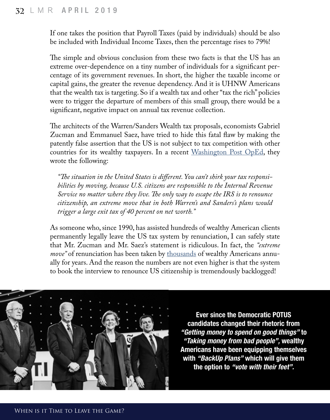If one takes the position that Payroll Taxes (paid by individuals) should be also be included with Individual Income Taxes, then the percentage rises to 79%!

The simple and obvious conclusion from these two facts is that the US has an extreme over-dependence on a tiny number of individuals for a significant percentage of its government revenues. In short, the higher the taxable income or capital gains, the greater the revenue dependency. And it is UHNW Americans that the wealth tax is targeting. So if a wealth tax and other "tax the rich" policies were to trigger the departure of members of this small group, there would be a significant, negative impact on annual tax revenue collection.

The architects of the Warren/Sanders Wealth tax proposals, economists Gabriel Zucman and Emmanuel Saez, have tried to hide this fatal flaw by making the patently false assertion that the US is not subject to tax competition with other countries for its wealthy taxpayers. In a recent  $W$ ashington Post OpEd, they wrote the following:

*"The situation in the United States is different. You can't shirk your tax responsibilities by moving, because U.S. citizens are responsible to the Internal Revenue Service no matter where they live. The only way to escape the IRS is to renounce citizenship, an extreme move that in both Warren's and Sanders's plans would trigger a large exit tax of 40 percent on net worth."*

As someone who, since 1990, has assisted hundreds of wealthy American clients permanently legally leave the US tax system by renunciation, I can safely state that Mr. Zucman and Mr. Saez's statement is ridiculous. In fact, the *"extreme move"* of renunciation has been taken by [thousands](https://www-nytimes-com.cdn.ampproject.org/c/s/www.nytimes.com/2019/12/06/your-money/wealth-renounce-us-citizenship.amp.html) of wealthy Americans annually for years. And the reason the numbers are not even higher is that the system to book the interview to renounce US citizenship is tremendously backlogged!



Ever since the Democratic POTUS candidates changed their rhetoric from *"Getting money to spend on good things"* to *"Taking money from bad people",* wealthy Americans have been equipping themselves with *"BackUp Plans"* which will give them the option to *"vote with their feet".*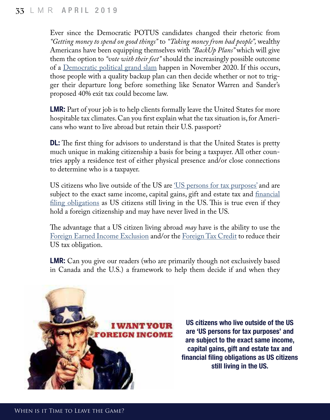Ever since the Democratic POTUS candidates changed their rhetoric from *"Getting money to spend on good things"* to *"Taking money from bad people",* wealthy Americans have been equipping themselves with *"BackUp Plans"* which will give them the option to *"vote with their feet"* should the increasingly possible outcome of a [Democratic political grand slam](https://www.youtube.com/watch?v=f3mYcYJ20Ao) happen in November 2020. If this occurs, those people with a quality backup plan can then decide whether or not to trigger their departure long before something like Senator Warren and Sander's proposed 40% exit tax could become law.

**LMR:** Part of your job is to help clients formally leave the United States for more hospitable tax climates. Can you first explain what the tax situation is, for Americans who want to live abroad but retain their U.S. passport?

**DL:** The first thing for advisors to understand is that the United States is pretty much unique in making citizenship a basis for being a taxpayer. All other countries apply a residence test of either physical presence and/or close connections to determine who is a taxpayer.

US citizens who live outside of the US are ['US persons for tax purposes'](https://www.irs.gov/individuals/international-taxpayers/classification-of-taxpayers-for-us-tax-purposes) and are subject to the exact same income, capital gains, gift and estate tax and *financial* [filing obligations](https://bsaefiling.fincen.treas.gov/NoRegFBARFiler.html) as US citizens still living in the US. This is true even if they hold a foreign citizenship and may have never lived in the US.

The advantage that a US citizen living abroad *may* have is the ability to use the [Foreign Earned Income Exclusion](https://www.irs.gov/individuals/international-taxpayers/foreign-earned-income-exclusion) and/or the [Foreign Tax Credit](https://www.irs.gov/individuals/international-taxpayers/foreign-tax-credit) to reduce their US tax obligation.

**LMR:** Can you give our readers (who are primarily though not exclusively based in Canada and the U.S.) a framework to help them decide if and when they



US citizens who live outside of the US are 'US persons for tax purposes' and are subject to the exact same income, capital gains, gift and estate tax and financial filing obligations as US citizens still living in the US.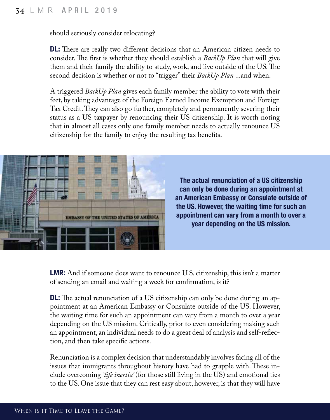should seriously consider relocating?

**DL:** There are really two different decisions that an American citizen needs to consider. The first is whether they should establish a *BackUp Plan* that will give them and their family the ability to study, work, and live outside of the US. The second decision is whether or not to "trigger" their *BackUp Plan* ...and when.

A triggered *BackUp Plan* gives each family member the ability to vote with their feet, by taking advantage of the Foreign Earned Income Exemption and Foreign Tax Credit. They can also go further, completely and permanently severing their status as a US taxpayer by renouncing their US citizenship. It is worth noting that in almost all cases only one family member needs to actually renounce US citizenship for the family to enjoy the resulting tax benefits.



The actual renunciation of a US citizenship can only be done during an appointment at an American Embassy or Consulate outside of the US. However, the waiting time for such an appointment can vary from a month to over a year depending on the US mission.

**LMR:** And if someone does want to renounce U.S. citizenship, this isn't a matter of sending an email and waiting a week for confirmation, is it?

**DL:** The actual renunciation of a US citizenship can only be done during an appointment at an American Embassy or Consulate outside of the US. However, the waiting time for such an appointment can vary from a month to over a year depending on the US mission. Critically, prior to even considering making such an appointment, an individual needs to do a great deal of analysis and self-reflection, and then take specific actions.

Renunciation is a complex decision that understandably involves facing all of the issues that immigrants throughout history have had to grapple with. These include overcoming *'life inertia'* (for those still living in the US) and emotional ties to the US. One issue that they can rest easy about, however, is that they will have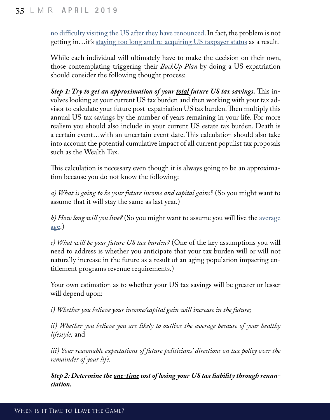[no difficulty visiting the US after they have renounced.](https://www.quora.com/Can-you-travel-to-the-US-after-renouncing-your-US-citizenship/answer/David-S-Lesperance) In fact, the problem is not getting in...it's [staying too long and re-acquiring US taxpayer status](https://www.irs.gov/individuals/international-taxpayers/the-green-card-test-and-the-substantial-presence-test) as a result.

While each individual will ultimately have to make the decision on their own, those contemplating triggering their *BackUp Plan* by doing a US expatriation should consider the following thought process:

*Step 1: Try to get an approximation of your <u>total</u> future US tax savings. This in*volves looking at your current US tax burden and then working with your tax advisor to calculate your future post-expatriation US tax burden. Then multiply this annual US tax savings by the number of years remaining in your life. For more realism you should also include in your current US estate tax burden. Death is a certain event…with an uncertain event date. This calculation should also take into account the potential cumulative impact of all current populist tax proposals such as the Wealth Tax.

This calculation is necessary even though it is always going to be an approximation because you do not know the following:

*a) What is going to be your future income and capital gains?* (So you might want to assume that it will stay the same as last year.)

*b) How long will you live?* (So you might want to assume you will live the [average](https://en.wikipedia.org/wiki/List_of_countries_by_life_expectancy)  $\underline{age.}$  $\underline{age.}$  $\underline{age.}$ 

*c) What will be your future US tax burden?* (One of the key assumptions you will need to address is whether you anticipate that your tax burden will or will not naturally increase in the future as a result of an aging population impacting entitlement programs revenue requirements.)

Your own estimation as to whether your US tax savings will be greater or lesser will depend upon:

*i) Whether you believe your income/capital gain will increase in the future;*

*ii) Whether you believe you are likely to outlive the average because of your healthy lifestyle;* and

*iii) Your reasonable expectations of future politicians' directions on tax policy over the remainder of your life.*

*Step 2: Determine the one-time cost of losing your US tax liability through renunciation.*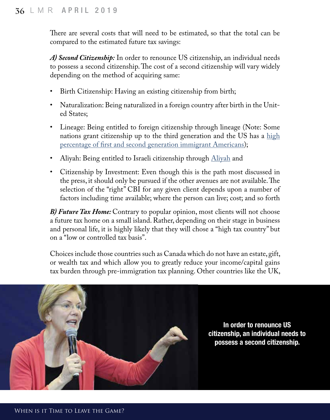There are several costs that will need to be estimated, so that the total can be compared to the estimated future tax savings:

*A) Second Citizenship:* In order to renounce US citizenship, an individual needs to possess a second citizenship. The cost of a second citizenship will vary widely depending on the method of acquiring same:

- Birth Citizenship: Having an existing citizenship from birth;
- Naturalization: Being naturalized in a foreign country after birth in the United States;
- Lineage: Being entitled to foreign citizenship through lineage (Note: Some nations grant citizenship up to the third generation and the US has a high [percentage of first and second generation immigrant Americans](https://www.pewresearch.org/hispanic/chart/first-and-second-generation-share-of-the-population/));
- Aliyah: Being entitled to Israeli citizenship through [Aliyah](https://en.wikipedia.org/wiki/Aliyah) and
- Citizenship by Investment: Even though this is the path most discussed in the press, it should only be pursued if the other avenues are not available. The selection of the "right" CBI for any given client depends upon a number of factors including time available; where the person can live; cost; and so forth

*B) Future Tax Home:* Contrary to popular opinion, most clients will not choose a future tax home on a small island. Rather, depending on their stage in business and personal life, it is highly likely that they will chose a "high tax country" but on a "low or controlled tax basis".

Choices include those countries such as Canada which do not have an estate, gift, or wealth tax and which allow you to greatly reduce your income/capital gains tax burden through pre-immigration tax planning. Other countries like the UK,



In order to renounce US citizenship, an individual needs to possess a second citizenship.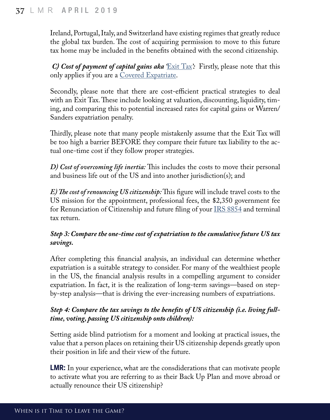Ireland, Portugal, Italy, and Switzerland have existing regimes that greatly reduce the global tax burden. The cost of acquiring permission to move to this future tax home may be included in the benefits obtained with the second citizenship.

*C) Cost of payment of capital gains aka* **[Exit Tax](https://www.irs.gov/individuals/international-taxpayers/expatriation-tax)**? Firstly, please note that this only applies if you are a [Covered Expatriate.](https://www.quora.com/Is-a-person-considered-a-covered-expatriate-if-his-or-her-net-worth-is-less-than-2-million-and-his-or-her-average-income-is-less-than-161-000/answer/David-S-Lesperance)

Secondly, please note that there are cost-efficient practical strategies to deal with an Exit Tax. These include looking at valuation, discounting, liquidity, timing, and comparing this to potential increased rates for capital gains or Warren/ Sanders expatriation penalty.

Thirdly, please note that many people mistakenly assume that the Exit Tax will be too high a barrier BEFORE they compare their future tax liability to the actual one-time cost if they follow proper strategies.

*D) Cost of overcoming life inertia:* This includes the costs to move their personal and business life out of the US and into another jurisdiction(s); and

*E) The cost of renouncing US citizenship:* This figure will include travel costs to the US mission for the appointment, professional fees, the \$2,350 government fee for Renunciation of Citizenship and future filing of your [IRS 8854](https://www.irs.gov/forms-pubs/about-form-8854) and terminal tax return.

#### *Step 3: Compare the one-time cost of expatriation to the cumulative future US tax savings.*

After completing this financial analysis, an individual can determine whether expatriation is a suitable strategy to consider. For many of the wealthiest people in the US, the financial analysis results in a compelling argument to consider expatriation. In fact, it is the realization of long-term savings—based on stepby-step analysis—that is driving the ever-increasing numbers of expatriations.

#### *Step 4: Compare the tax savings to the benefits of US citizenship (i.e. living fulltime, voting, passing US citizenship onto children):*

Setting aside blind patriotism for a moment and looking at practical issues, the value that a person places on retaining their US citizenship depends greatly upon their position in life and their view of the future.

**LMR:** In your experience, what are the consdiderations that can motivate people to activate what you are referring to as their Back Up Plan and move abroad or actually renounce their US citizenship?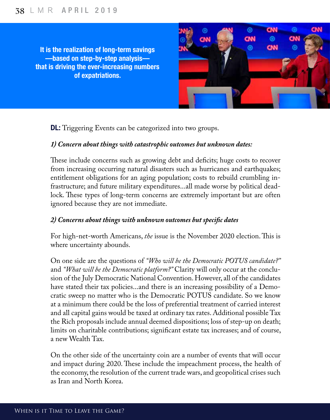It is the realization of long-term savings —based on step-by-step analysis that is driving the ever-increasing numbers of expatriations.



**DL:** Triggering Events can be categorized into two groups.

#### *1) Concern about things with catastrophic outcomes but unknown dates:*

These include concerns such as growing debt and deficits; huge costs to recover from increasing occurring natural disasters such as hurricanes and earthquakes; entitlement obligations for an aging population; costs to rebuild crumbling infrastructure; and future military expenditures...all made worse by political deadlock. These types of long-term concerns are extremely important but are often ignored because they are not immediate.

#### *2) Concerns about things with unknown outcomes but specific dates*

For high-net-worth Americans, *the* issue is the November 2020 election. This is where uncertainty abounds.

On one side are the questions of *"Who will be the Democratic POTUS candidate?"*  and *"What will be the Democratic platform?"* Clarity will only occur at the conclusion of the July Democratic National Convention. However, all of the candidates have stated their tax policies...and there is an increasing possibility of a Democratic sweep no matter who is the Democratic POTUS candidate. So we know at a minimum there could be the loss of preferential treatment of carried interest and all capital gains would be taxed at ordinary tax rates. Additional possible Tax the Rich proposals include annual deemed dispositions; loss of step-up on death; limits on charitable contributions; significant estate tax increases; and of course, a new Wealth Tax.

On the other side of the uncertainty coin are a number of events that will occur and impact during 2020. These include the impeachment process, the health of the economy, the resolution of the current trade wars, and geopolitical crises such as Iran and North Korea.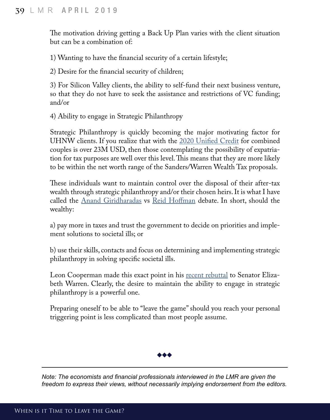The motivation driving getting a Back Up Plan varies with the client situation but can be a combination of:

1) Wanting to have the financial security of a certain lifestyle;

2) Desire for the financial security of children;

3) For Silicon Valley clients, the ability to self-fund their next business venture, so that they do not have to seek the assistance and restrictions of VC funding; and/or

4) Ability to engage in Strategic Philanthropy

Strategic Philanthropy is quickly becoming the major motivating factor for UHNW clients. If you realize that with the [2020 Unified Credit](https://www.journalofaccountancy.com/news/2019/nov/2020-irs-tax-tables-inflation-adjustments-201922409.html) for combined couples is over 23M USD, then those contemplating the possibility of expatriation for tax purposes are well over this level. This means that they are more likely to be within the net worth range of the Sanders/Warren Wealth Tax proposals.

These individuals want to maintain control over the disposal of their after-tax wealth through strategic philanthropy and/or their chosen heirs. It is what I have called the [Anand Giridharadas](https://urldefense.proofpoint.com/v2/url?u=https-3A__www.ft.com_content_3729c71e-2D2419-2D11e9-2D8ce6-2D5db4543da632&d=DwMFaQ&c=slrrB7dE8n7gBJbeO0g-IQ&r=u99DC7MYSUSXIhq0VVDwuQ&m=sDaVvLBIjOsWqWlfJApSgjwqHtLfo9U9BdKyyVTg1CQ&s=LlkBYhNS1uvFl-3QFtBbKNyH56msNfLkP14n4K4YLuY&e=) vs [Reid Hoffman](https://urldefense.proofpoint.com/v2/url?u=https-3A__www.theatlantic.com_business_archive_2017_06_reid-2Dhoffman-2Dphilanthropy_529650_&d=DwMFaQ&c=slrrB7dE8n7gBJbeO0g-IQ&r=u99DC7MYSUSXIhq0VVDwuQ&m=sDaVvLBIjOsWqWlfJApSgjwqHtLfo9U9BdKyyVTg1CQ&s=en3Xr3TOx1W8aeF_mXsXJeQHBSQSFculghIBRnseOwU&e=) debate. In short, should the wealthy:

a) pay more in taxes and trust the government to decide on priorities and implement solutions to societal ills; or

b) use their skills, contacts and focus on determining and implementing strategic philanthropy in solving specific societal ills.

Leon Cooperman made this exact point in his [recent rebuttal](https://urldefense.proofpoint.com/v2/url?u=https-3A__fm.cnbc.com_applications_cnbc.com_resources_editorialfiles_2019_10_31_CoopermanLetter.pdf&d=DwMFaQ&c=slrrB7dE8n7gBJbeO0g-IQ&r=u99DC7MYSUSXIhq0VVDwuQ&m=sDaVvLBIjOsWqWlfJApSgjwqHtLfo9U9BdKyyVTg1CQ&s=ABhXYJLDtdal9TsfyzAiFD62bi-7zoNlOXEmscfxONA&e=) to Senator Elizabeth Warren. Clearly, the desire to maintain the ability to engage in strategic philanthropy is a powerful one.

Preparing oneself to be able to "leave the game" should you reach your personal triggering point is less complicated than most people assume.



*Note: The economists and financial professionals interviewed in the LMR are given the freedom to express their views, without necessarily implying endorsement from the editors.*